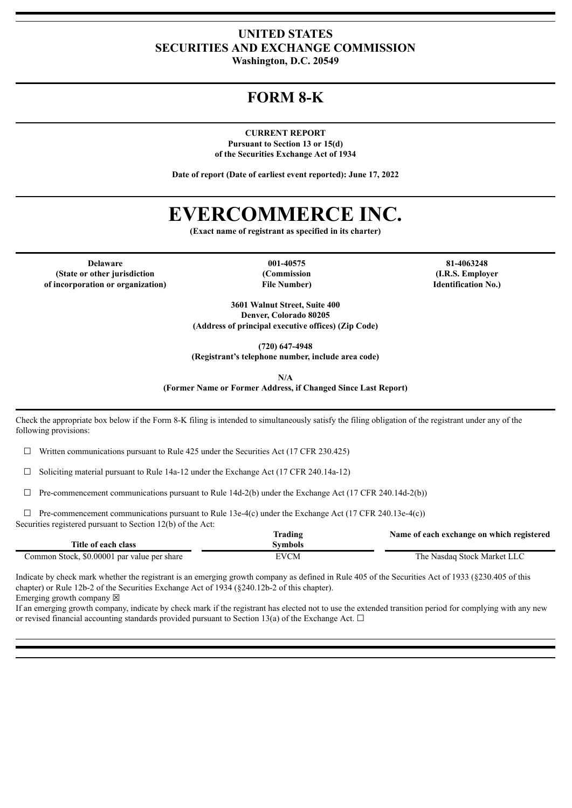### **UNITED STATES SECURITIES AND EXCHANGE COMMISSION Washington, D.C. 20549**

## **FORM 8-K**

**CURRENT REPORT Pursuant to Section 13 or 15(d) of the Securities Exchange Act of 1934**

**Date of report (Date of earliest event reported): June 17, 2022**

# **EVERCOMMERCE INC.**

**(Exact name of registrant as specified in its charter)**

**Delaware 001-40575 81-4063248 (State or other jurisdiction of incorporation or organization)**

**(Commission File Number)**

**(I.R.S. Employer Identification No.)**

**3601 Walnut Street, Suite 400 Denver, Colorado 80205 (Address of principal executive offices) (Zip Code)**

**(720) 647-4948**

**(Registrant's telephone number, include area code)**

**N/A**

**(Former Name or Former Address, if Changed Since Last Report)**

Check the appropriate box below if the Form 8-K filing is intended to simultaneously satisfy the filing obligation of the registrant under any of the following provisions:

 $\Box$  Written communications pursuant to Rule 425 under the Securities Act (17 CFR 230.425)

 $\Box$  Soliciting material pursuant to Rule 14a-12 under the Exchange Act (17 CFR 240.14a-12)

 $\Box$  Pre-commencement communications pursuant to Rule 14d-2(b) under the Exchange Act (17 CFR 240.14d-2(b))

 $\Box$  Pre-commencement communications pursuant to Rule 13e-4(c) under the Exchange Act (17 CFR 240.13e-4(c)) Securities registered pursuant to Section 12(b) of the Act:

|                                             | <b>Trading</b> | Name of each exchange on which registered |
|---------------------------------------------|----------------|-------------------------------------------|
| Title of each class                         | Symbols        |                                           |
| Common Stock, \$0,00001 par value per share | <b>EVCM</b>    | The Nasdaq Stock Market LLC               |

Indicate by check mark whether the registrant is an emerging growth company as defined in Rule 405 of the Securities Act of 1933 (§230.405 of this chapter) or Rule 12b-2 of the Securities Exchange Act of 1934 (§240.12b-2 of this chapter).

Emerging growth company  $\boxtimes$ 

If an emerging growth company, indicate by check mark if the registrant has elected not to use the extended transition period for complying with any new or revised financial accounting standards provided pursuant to Section 13(a) of the Exchange Act.  $\Box$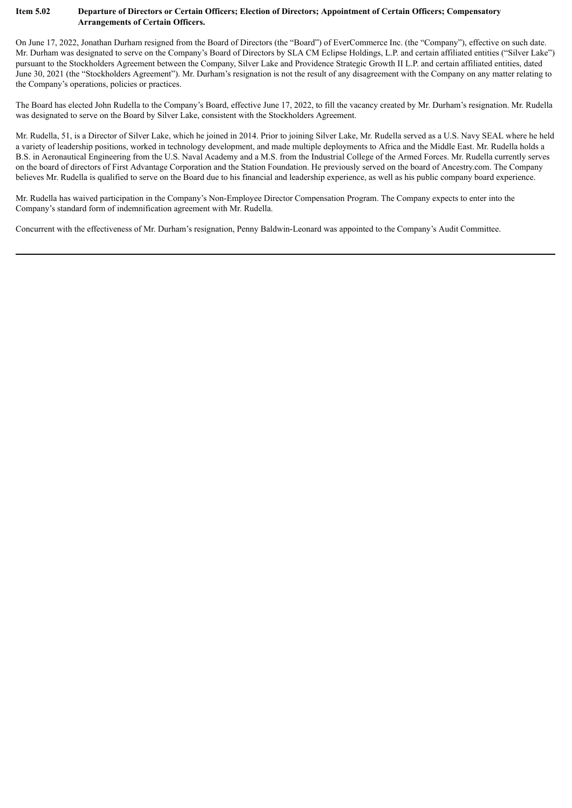#### Item 5.02 Departure of Directors or Certain Officers; Election of Directors; Appointment of Certain Officers; Compensatory **Arrangements of Certain Officers.**

On June 17, 2022, Jonathan Durham resigned from the Board of Directors (the "Board") of EverCommerce Inc. (the "Company"), effective on such date. Mr. Durham was designated to serve on the Company's Board of Directors by SLA CM Eclipse Holdings, L.P. and certain affiliated entities ("Silver Lake") pursuant to the Stockholders Agreement between the Company, Silver Lake and Providence Strategic Growth II L.P. and certain affiliated entities, dated June 30, 2021 (the "Stockholders Agreement"). Mr. Durham's resignation is not the result of any disagreement with the Company on any matter relating to the Company's operations, policies or practices.

The Board has elected John Rudella to the Company's Board, effective June 17, 2022, to fill the vacancy created by Mr. Durham's resignation. Mr. Rudella was designated to serve on the Board by Silver Lake, consistent with the Stockholders Agreement.

Mr. Rudella, 51, is a Director of Silver Lake, which he joined in 2014. Prior to joining Silver Lake, Mr. Rudella served as a U.S. Navy SEAL where he held a variety of leadership positions, worked in technology development, and made multiple deployments to Africa and the Middle East. Mr. Rudella holds a B.S. in Aeronautical Engineering from the U.S. Naval Academy and a M.S. from the Industrial College of the Armed Forces. Mr. Rudella currently serves on the board of directors of First Advantage Corporation and the Station Foundation. He previously served on the board of Ancestry.com. The Company believes Mr. Rudella is qualified to serve on the Board due to his financial and leadership experience, as well as his public company board experience.

Mr. Rudella has waived participation in the Company's Non-Employee Director Compensation Program. The Company expects to enter into the Company's standard form of indemnification agreement with Mr. Rudella.

Concurrent with the effectiveness of Mr. Durham's resignation, Penny Baldwin-Leonard was appointed to the Company's Audit Committee.